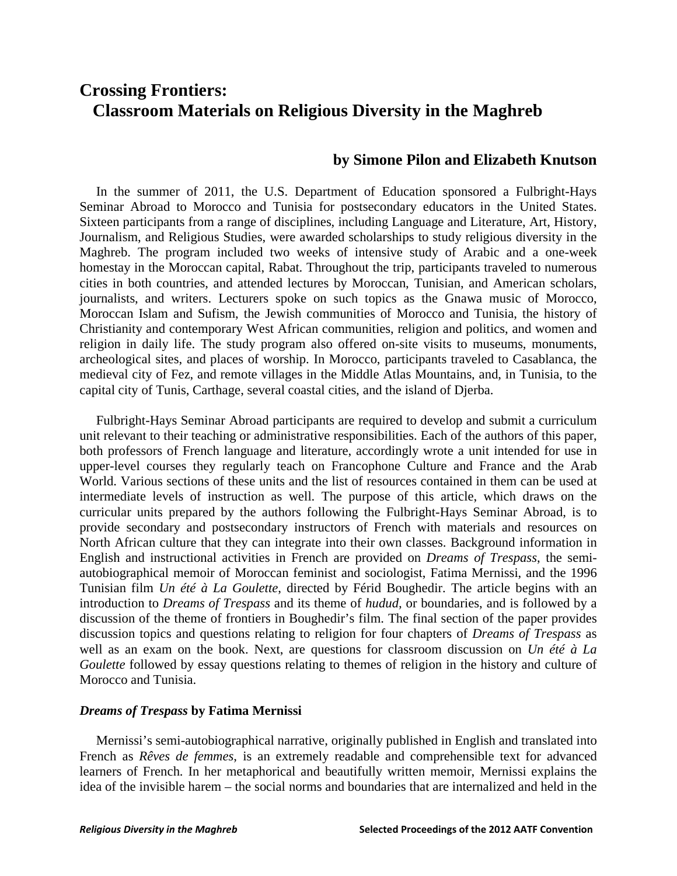# **Crossing Frontiers: Classroom Materials on Religious Diversity in the Maghreb**

## **by Simone Pilon and Elizabeth Knutson**

 In the summer of 2011, the U.S. Department of Education sponsored a Fulbright-Hays Seminar Abroad to Morocco and Tunisia for postsecondary educators in the United States. Sixteen participants from a range of disciplines, including Language and Literature, Art, History, Journalism, and Religious Studies, were awarded scholarships to study religious diversity in the Maghreb. The program included two weeks of intensive study of Arabic and a one-week homestay in the Moroccan capital, Rabat. Throughout the trip, participants traveled to numerous cities in both countries, and attended lectures by Moroccan, Tunisian, and American scholars, journalists, and writers. Lecturers spoke on such topics as the Gnawa music of Morocco, Moroccan Islam and Sufism, the Jewish communities of Morocco and Tunisia, the history of Christianity and contemporary West African communities, religion and politics, and women and religion in daily life. The study program also offered on-site visits to museums, monuments, archeological sites, and places of worship. In Morocco, participants traveled to Casablanca, the medieval city of Fez, and remote villages in the Middle Atlas Mountains, and, in Tunisia, to the capital city of Tunis, Carthage, several coastal cities, and the island of Djerba.

 Fulbright-Hays Seminar Abroad participants are required to develop and submit a curriculum unit relevant to their teaching or administrative responsibilities. Each of the authors of this paper, both professors of French language and literature, accordingly wrote a unit intended for use in upper-level courses they regularly teach on Francophone Culture and France and the Arab World. Various sections of these units and the list of resources contained in them can be used at intermediate levels of instruction as well. The purpose of this article, which draws on the curricular units prepared by the authors following the Fulbright-Hays Seminar Abroad, is to provide secondary and postsecondary instructors of French with materials and resources on North African culture that they can integrate into their own classes. Background information in English and instructional activities in French are provided on *Dreams of Trespass*, the semiautobiographical memoir of Moroccan feminist and sociologist, Fatima Mernissi, and the 1996 Tunisian film *Un été à La Goulette*, directed by Férid Boughedir. The article begins with an introduction to *Dreams of Trespass* and its theme of *hudud,* or boundaries, and is followed by a discussion of the theme of frontiers in Boughedir's film. The final section of the paper provides discussion topics and questions relating to religion for four chapters of *Dreams of Trespass* as well as an exam on the book. Next, are questions for classroom discussion on *Un été à La Goulette* followed by essay questions relating to themes of religion in the history and culture of Morocco and Tunisia.

#### *Dreams of Trespass* **by Fatima Mernissi**

 Mernissi's semi-autobiographical narrative, originally published in English and translated into French as *Rêves de femmes*, is an extremely readable and comprehensible text for advanced learners of French. In her metaphorical and beautifully written memoir, Mernissi explains the idea of the invisible harem – the social norms and boundaries that are internalized and held in the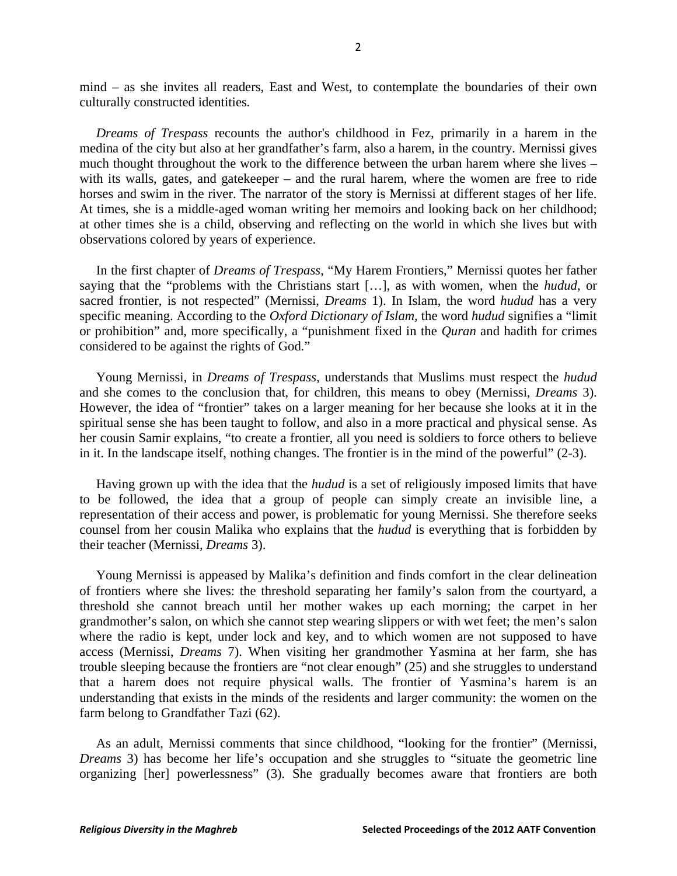mind – as she invites all readers, East and West, to contemplate the boundaries of their own culturally constructed identities.

 *Dreams of Trespass* recounts the author's childhood in Fez, primarily in a harem in the medina of the city but also at her grandfather's farm, also a harem, in the country. Mernissi gives much thought throughout the work to the difference between the urban harem where she lives – with its walls, gates, and gatekeeper – and the rural harem, where the women are free to ride horses and swim in the river. The narrator of the story is Mernissi at different stages of her life. At times, she is a middle-aged woman writing her memoirs and looking back on her childhood; at other times she is a child, observing and reflecting on the world in which she lives but with observations colored by years of experience.

 In the first chapter of *Dreams of Trespass*, "My Harem Frontiers," Mernissi quotes her father saying that the "problems with the Christians start […], as with women, when the *hudud*, or sacred frontier, is not respected" (Mernissi, *Dreams* 1). In Islam, the word *hudud* has a very specific meaning. According to the *Oxford Dictionary of Islam,* the word *hudud* signifies a "limit or prohibition" and, more specifically, a "punishment fixed in the *Quran* and hadith for crimes considered to be against the rights of God."

 Young Mernissi, in *Dreams of Trespass*, understands that Muslims must respect the *hudud* and she comes to the conclusion that, for children, this means to obey (Mernissi, *Dreams* 3). However, the idea of "frontier" takes on a larger meaning for her because she looks at it in the spiritual sense she has been taught to follow, and also in a more practical and physical sense. As her cousin Samir explains, "to create a frontier, all you need is soldiers to force others to believe in it. In the landscape itself, nothing changes. The frontier is in the mind of the powerful" (2-3).

 Having grown up with the idea that the *hudud* is a set of religiously imposed limits that have to be followed, the idea that a group of people can simply create an invisible line, a representation of their access and power, is problematic for young Mernissi. She therefore seeks counsel from her cousin Malika who explains that the *hudud* is everything that is forbidden by their teacher (Mernissi, *Dreams* 3).

 Young Mernissi is appeased by Malika's definition and finds comfort in the clear delineation of frontiers where she lives: the threshold separating her family's salon from the courtyard, a threshold she cannot breach until her mother wakes up each morning; the carpet in her grandmother's salon, on which she cannot step wearing slippers or with wet feet; the men's salon where the radio is kept, under lock and key, and to which women are not supposed to have access (Mernissi, *Dreams* 7). When visiting her grandmother Yasmina at her farm, she has trouble sleeping because the frontiers are "not clear enough" (25) and she struggles to understand that a harem does not require physical walls. The frontier of Yasmina's harem is an understanding that exists in the minds of the residents and larger community: the women on the farm belong to Grandfather Tazi (62).

 As an adult, Mernissi comments that since childhood, "looking for the frontier" (Mernissi, *Dreams* 3) has become her life's occupation and she struggles to "situate the geometric line organizing [her] powerlessness" (3). She gradually becomes aware that frontiers are both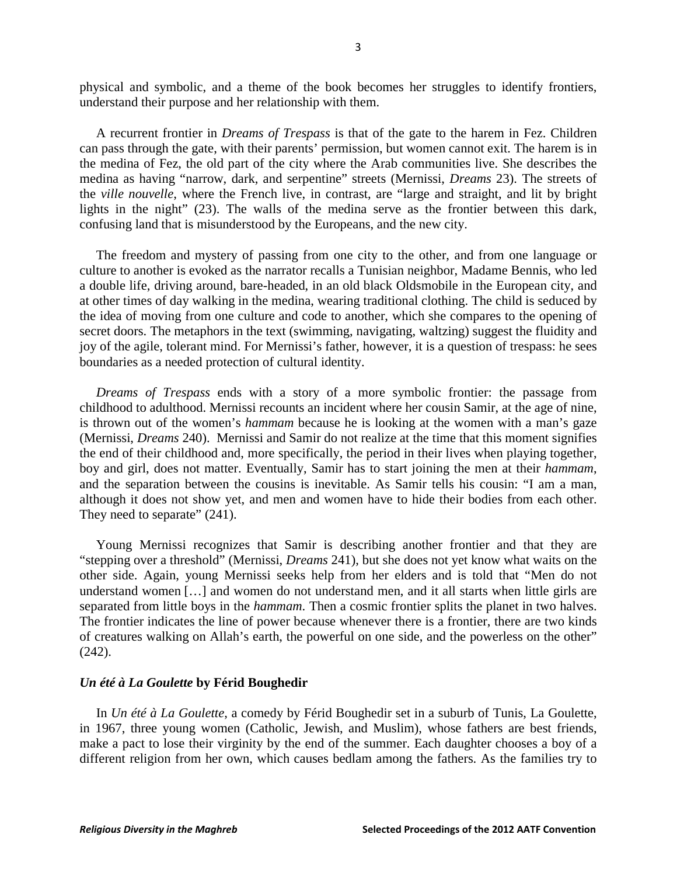physical and symbolic, and a theme of the book becomes her struggles to identify frontiers, understand their purpose and her relationship with them.

 A recurrent frontier in *Dreams of Trespass* is that of the gate to the harem in Fez. Children can pass through the gate, with their parents' permission, but women cannot exit. The harem is in the medina of Fez, the old part of the city where the Arab communities live. She describes the medina as having "narrow, dark, and serpentine" streets (Mernissi, *Dreams* 23). The streets of the *ville nouvelle*, where the French live, in contrast, are "large and straight, and lit by bright lights in the night" (23). The walls of the medina serve as the frontier between this dark, confusing land that is misunderstood by the Europeans, and the new city.

 The freedom and mystery of passing from one city to the other, and from one language or culture to another is evoked as the narrator recalls a Tunisian neighbor, Madame Bennis, who led a double life, driving around, bare-headed, in an old black Oldsmobile in the European city, and at other times of day walking in the medina, wearing traditional clothing. The child is seduced by the idea of moving from one culture and code to another, which she compares to the opening of secret doors. The metaphors in the text (swimming, navigating, waltzing) suggest the fluidity and joy of the agile, tolerant mind. For Mernissi's father, however, it is a question of trespass: he sees boundaries as a needed protection of cultural identity.

 *Dreams of Trespass* ends with a story of a more symbolic frontier: the passage from childhood to adulthood. Mernissi recounts an incident where her cousin Samir, at the age of nine, is thrown out of the women's *hammam* because he is looking at the women with a man's gaze (Mernissi, *Dreams* 240). Mernissi and Samir do not realize at the time that this moment signifies the end of their childhood and, more specifically, the period in their lives when playing together, boy and girl, does not matter. Eventually, Samir has to start joining the men at their *hammam*, and the separation between the cousins is inevitable. As Samir tells his cousin: "I am a man, although it does not show yet, and men and women have to hide their bodies from each other. They need to separate"  $(241)$ .

 Young Mernissi recognizes that Samir is describing another frontier and that they are "stepping over a threshold" (Mernissi, *Dreams* 241), but she does not yet know what waits on the other side. Again, young Mernissi seeks help from her elders and is told that "Men do not understand women [...] and women do not understand men, and it all starts when little girls are separated from little boys in the *hammam*. Then a cosmic frontier splits the planet in two halves. The frontier indicates the line of power because whenever there is a frontier, there are two kinds of creatures walking on Allah's earth, the powerful on one side, and the powerless on the other" (242).

#### *Un été à La Goulette* **by Férid Boughedir**

 In *Un été à La Goulette*, a comedy by Férid Boughedir set in a suburb of Tunis, La Goulette, in 1967, three young women (Catholic, Jewish, and Muslim), whose fathers are best friends, make a pact to lose their virginity by the end of the summer. Each daughter chooses a boy of a different religion from her own, which causes bedlam among the fathers. As the families try to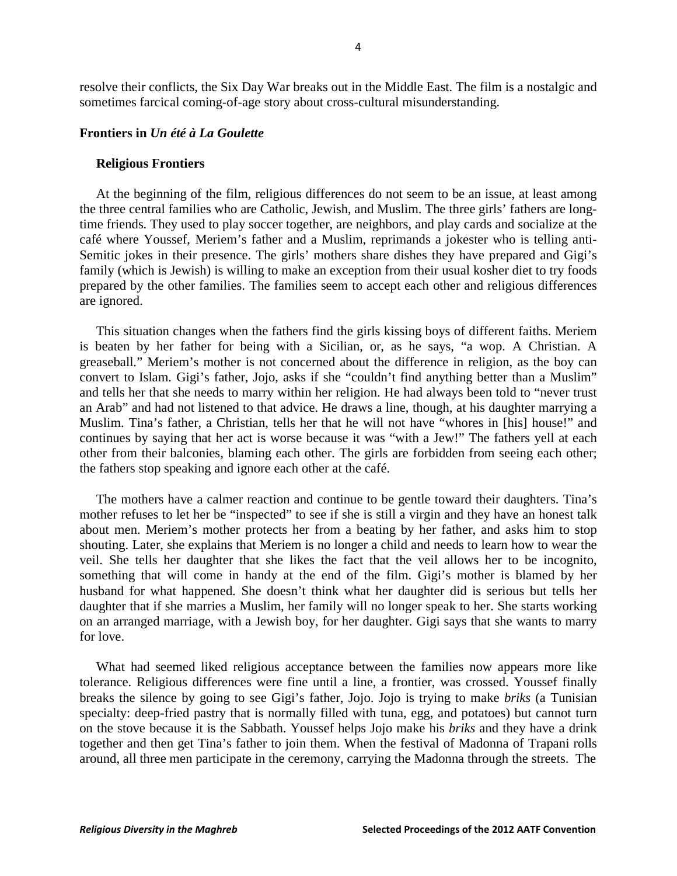resolve their conflicts, the Six Day War breaks out in the Middle East. The film is a nostalgic and sometimes farcical coming-of-age story about cross-cultural misunderstanding.

#### **Frontiers in** *Un été à La Goulette*

#### **Religious Frontiers**

 At the beginning of the film, religious differences do not seem to be an issue, at least among the three central families who are Catholic, Jewish, and Muslim. The three girls' fathers are longtime friends. They used to play soccer together, are neighbors, and play cards and socialize at the café where Youssef, Meriem's father and a Muslim, reprimands a jokester who is telling anti-Semitic jokes in their presence. The girls' mothers share dishes they have prepared and Gigi's family (which is Jewish) is willing to make an exception from their usual kosher diet to try foods prepared by the other families. The families seem to accept each other and religious differences are ignored.

 This situation changes when the fathers find the girls kissing boys of different faiths. Meriem is beaten by her father for being with a Sicilian, or, as he says, "a wop. A Christian. A greaseball." Meriem's mother is not concerned about the difference in religion, as the boy can convert to Islam. Gigi's father, Jojo, asks if she "couldn't find anything better than a Muslim" and tells her that she needs to marry within her religion. He had always been told to "never trust an Arab" and had not listened to that advice. He draws a line, though, at his daughter marrying a Muslim. Tina's father, a Christian, tells her that he will not have "whores in [his] house!" and continues by saying that her act is worse because it was "with a Jew!" The fathers yell at each other from their balconies, blaming each other. The girls are forbidden from seeing each other; the fathers stop speaking and ignore each other at the café.

 The mothers have a calmer reaction and continue to be gentle toward their daughters. Tina's mother refuses to let her be "inspected" to see if she is still a virgin and they have an honest talk about men. Meriem's mother protects her from a beating by her father, and asks him to stop shouting. Later, she explains that Meriem is no longer a child and needs to learn how to wear the veil. She tells her daughter that she likes the fact that the veil allows her to be incognito, something that will come in handy at the end of the film. Gigi's mother is blamed by her husband for what happened. She doesn't think what her daughter did is serious but tells her daughter that if she marries a Muslim, her family will no longer speak to her. She starts working on an arranged marriage, with a Jewish boy, for her daughter. Gigi says that she wants to marry for love.

 What had seemed liked religious acceptance between the families now appears more like tolerance. Religious differences were fine until a line, a frontier, was crossed. Youssef finally breaks the silence by going to see Gigi's father, Jojo. Jojo is trying to make *briks* (a Tunisian specialty: deep-fried pastry that is normally filled with tuna, egg, and potatoes) but cannot turn on the stove because it is the Sabbath. Youssef helps Jojo make his *briks* and they have a drink together and then get Tina's father to join them. When the festival of Madonna of Trapani rolls around, all three men participate in the ceremony, carrying the Madonna through the streets. The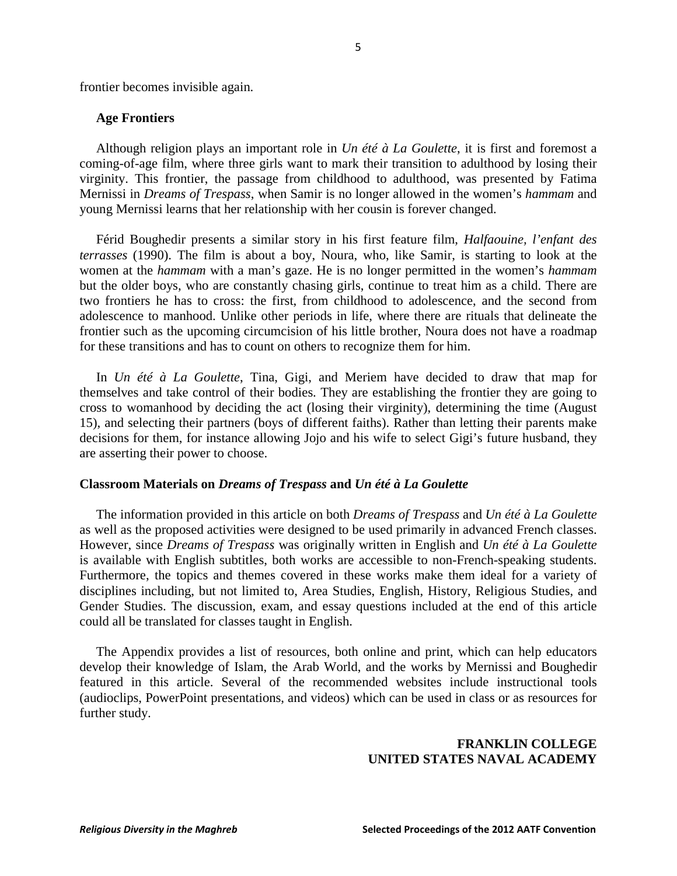frontier becomes invisible again.

#### **Age Frontiers**

 Although religion plays an important role in *Un été à La Goulette*, it is first and foremost a coming-of-age film, where three girls want to mark their transition to adulthood by losing their virginity. This frontier, the passage from childhood to adulthood, was presented by Fatima Mernissi in *Dreams of Trespass*, when Samir is no longer allowed in the women's *hammam* and young Mernissi learns that her relationship with her cousin is forever changed.

 Férid Boughedir presents a similar story in his first feature film, *Halfaouine, l'enfant des terrasses* (1990). The film is about a boy, Noura, who, like Samir, is starting to look at the women at the *hammam* with a man's gaze. He is no longer permitted in the women's *hammam* but the older boys, who are constantly chasing girls, continue to treat him as a child. There are two frontiers he has to cross: the first, from childhood to adolescence, and the second from adolescence to manhood. Unlike other periods in life, where there are rituals that delineate the frontier such as the upcoming circumcision of his little brother, Noura does not have a roadmap for these transitions and has to count on others to recognize them for him.

 In *Un été à La Goulette*, Tina, Gigi, and Meriem have decided to draw that map for themselves and take control of their bodies. They are establishing the frontier they are going to cross to womanhood by deciding the act (losing their virginity), determining the time (August 15), and selecting their partners (boys of different faiths). Rather than letting their parents make decisions for them, for instance allowing Jojo and his wife to select Gigi's future husband, they are asserting their power to choose.

#### **Classroom Materials on** *Dreams of Trespass* **and** *Un été à La Goulette*

 The information provided in this article on both *Dreams of Trespass* and *Un été à La Goulette* as well as the proposed activities were designed to be used primarily in advanced French classes. However, since *Dreams of Trespass* was originally written in English and *Un été à La Goulette* is available with English subtitles, both works are accessible to non-French-speaking students. Furthermore, the topics and themes covered in these works make them ideal for a variety of disciplines including, but not limited to, Area Studies, English, History, Religious Studies, and Gender Studies. The discussion, exam, and essay questions included at the end of this article could all be translated for classes taught in English.

 The Appendix provides a list of resources, both online and print, which can help educators develop their knowledge of Islam, the Arab World, and the works by Mernissi and Boughedir featured in this article. Several of the recommended websites include instructional tools (audioclips, PowerPoint presentations, and videos) which can be used in class or as resources for further study.

## **FRANKLIN COLLEGE UNITED STATES NAVAL ACADEMY**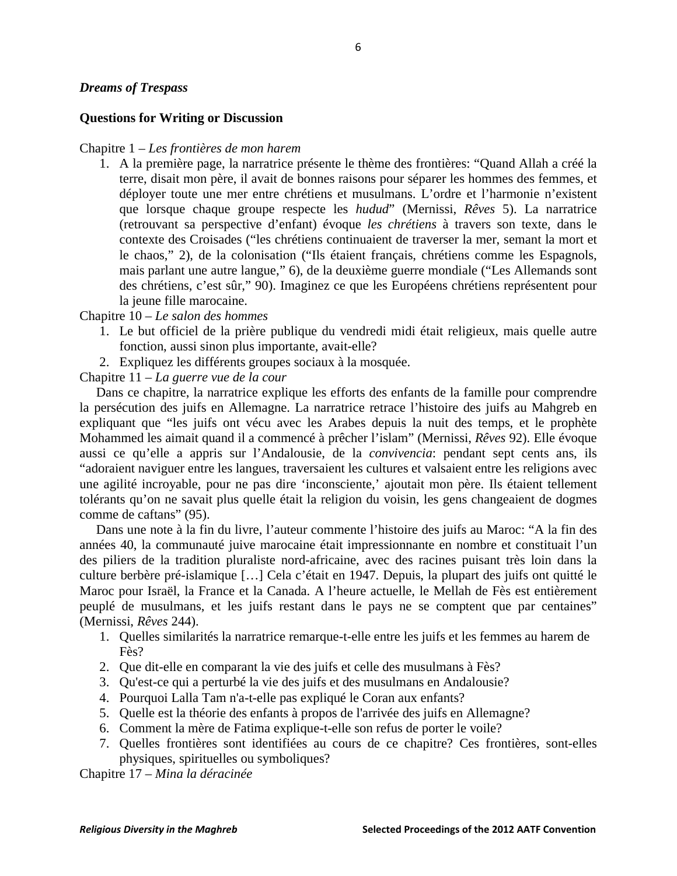## *Dreams of Trespass*

## **Questions for Writing or Discussion**

#### Chapitre 1 – *Les frontières de mon harem*

1. A la première page, la narratrice présente le thème des frontières: "Quand Allah a créé la terre, disait mon père, il avait de bonnes raisons pour séparer les hommes des femmes, et déployer toute une mer entre chrétiens et musulmans. L'ordre et l'harmonie n'existent que lorsque chaque groupe respecte les *hudud*" (Mernissi, *Rêves* 5). La narratrice (retrouvant sa perspective d'enfant) évoque *les chrétiens* à travers son texte, dans le contexte des Croisades ("les chrétiens continuaient de traverser la mer, semant la mort et le chaos," 2), de la colonisation ("Ils étaient français, chrétiens comme les Espagnols, mais parlant une autre langue," 6), de la deuxième guerre mondiale ("Les Allemands sont des chrétiens, c'est sûr," 90). Imaginez ce que les Européens chrétiens représentent pour la jeune fille marocaine.

Chapitre 10 – *Le salon des hommes*

- 1. Le but officiel de la prière publique du vendredi midi était religieux, mais quelle autre fonction, aussi sinon plus importante, avait-elle?
- 2. Expliquez les différents groupes sociaux à la mosquée.

Chapitre 11 – *La guerre vue de la cour*

 Dans ce chapitre, la narratrice explique les efforts des enfants de la famille pour comprendre la persécution des juifs en Allemagne. La narratrice retrace l'histoire des juifs au Mahgreb en expliquant que "les juifs ont vécu avec les Arabes depuis la nuit des temps, et le prophète Mohammed les aimait quand il a commencé à prêcher l'islam" (Mernissi, *Rêves* 92). Elle évoque aussi ce qu'elle a appris sur l'Andalousie, de la *convivencia*: pendant sept cents ans, ils "adoraient naviguer entre les langues, traversaient les cultures et valsaient entre les religions avec une agilité incroyable, pour ne pas dire 'inconsciente,' ajoutait mon père. Ils étaient tellement tolérants qu'on ne savait plus quelle était la religion du voisin, les gens changeaient de dogmes comme de caftans" (95).

 Dans une note à la fin du livre, l'auteur commente l'histoire des juifs au Maroc: "A la fin des années 40, la communauté juive marocaine était impressionnante en nombre et constituait l'un des piliers de la tradition pluraliste nord-africaine, avec des racines puisant très loin dans la culture berbère pré-islamique […] Cela c'était en 1947. Depuis, la plupart des juifs ont quitté le Maroc pour Israël, la France et la Canada. A l'heure actuelle, le Mellah de Fès est entièrement peuplé de musulmans, et les juifs restant dans le pays ne se comptent que par centaines" (Mernissi, *Rêves* 244).

- 1. Quelles similarités la narratrice remarque-t-elle entre les juifs et les femmes au harem de Fès?
- 2. Que dit-elle en comparant la vie des juifs et celle des musulmans à Fès?
- 3. Qu'est-ce qui a perturbé la vie des juifs et des musulmans en Andalousie?
- 4. Pourquoi Lalla Tam n'a-t-elle pas expliqué le Coran aux enfants?
- 5. Quelle est la théorie des enfants à propos de l'arrivée des juifs en Allemagne?
- 6. Comment la mère de Fatima explique-t-elle son refus de porter le voile?
- 7. Quelles frontières sont identifiées au cours de ce chapitre? Ces frontières, sont-elles physiques, spirituelles ou symboliques?

Chapitre 17 – *Mina la déracinée*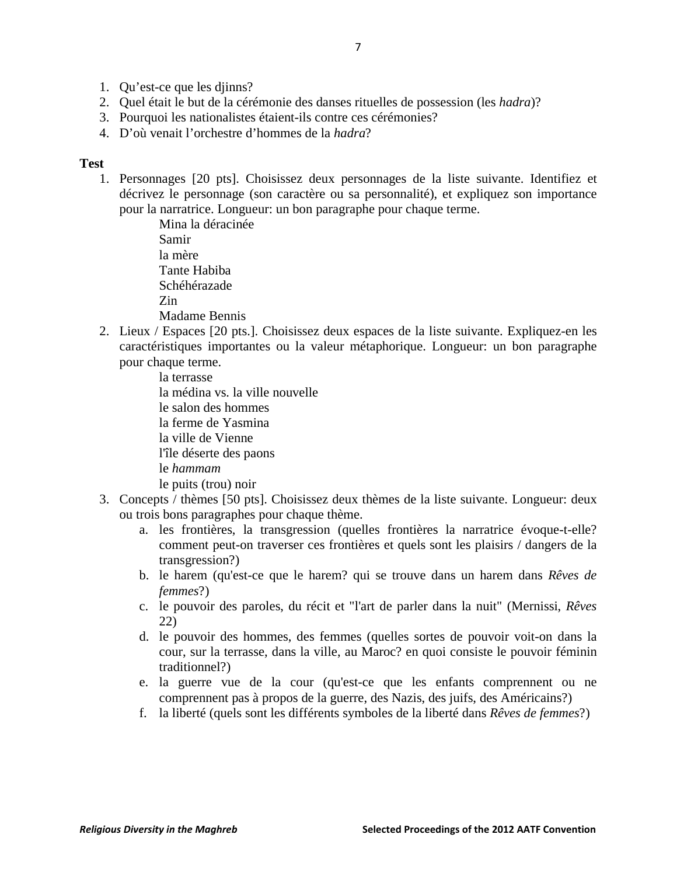- 1. Qu'est-ce que les djinns?
- 2. Quel était le but de la cérémonie des danses rituelles de possession (les *hadra*)?
- 3. Pourquoi les nationalistes étaient-ils contre ces cérémonies?
- 4. D'où venait l'orchestre d'hommes de la *hadra*?

## **Test**

1. Personnages [20 pts]. Choisissez deux personnages de la liste suivante. Identifiez et décrivez le personnage (son caractère ou sa personnalité), et expliquez son importance pour la narratrice. Longueur: un bon paragraphe pour chaque terme.

> Mina la déracinée Samir la mère Tante Habiba Schéhérazade Zin Madame Bennis

2. Lieux / Espaces [20 pts.]. Choisissez deux espaces de la liste suivante. Expliquez-en les caractéristiques importantes ou la valeur métaphorique. Longueur: un bon paragraphe pour chaque terme.

> la terrasse la médina vs. la ville nouvelle le salon des hommes la ferme de Yasmina la ville de Vienne l'île déserte des paons le *hammam* le puits (trou) noir

- 3. Concepts / thèmes [50 pts]. Choisissez deux thèmes de la liste suivante. Longueur: deux ou trois bons paragraphes pour chaque thème.
	- a. les frontières, la transgression (quelles frontières la narratrice évoque-t-elle? comment peut-on traverser ces frontières et quels sont les plaisirs / dangers de la transgression?)
	- b. le harem (qu'est-ce que le harem? qui se trouve dans un harem dans *Rêves de femmes*?)
	- c. le pouvoir des paroles, du récit et "l'art de parler dans la nuit" (Mernissi, *Rêves* 22)
	- d. le pouvoir des hommes, des femmes (quelles sortes de pouvoir voit-on dans la cour, sur la terrasse, dans la ville, au Maroc? en quoi consiste le pouvoir féminin traditionnel?)
	- e. la guerre vue de la cour (qu'est-ce que les enfants comprennent ou ne comprennent pas à propos de la guerre, des Nazis, des juifs, des Américains?)
	- f. la liberté (quels sont les différents symboles de la liberté dans *Rêves de femmes*?)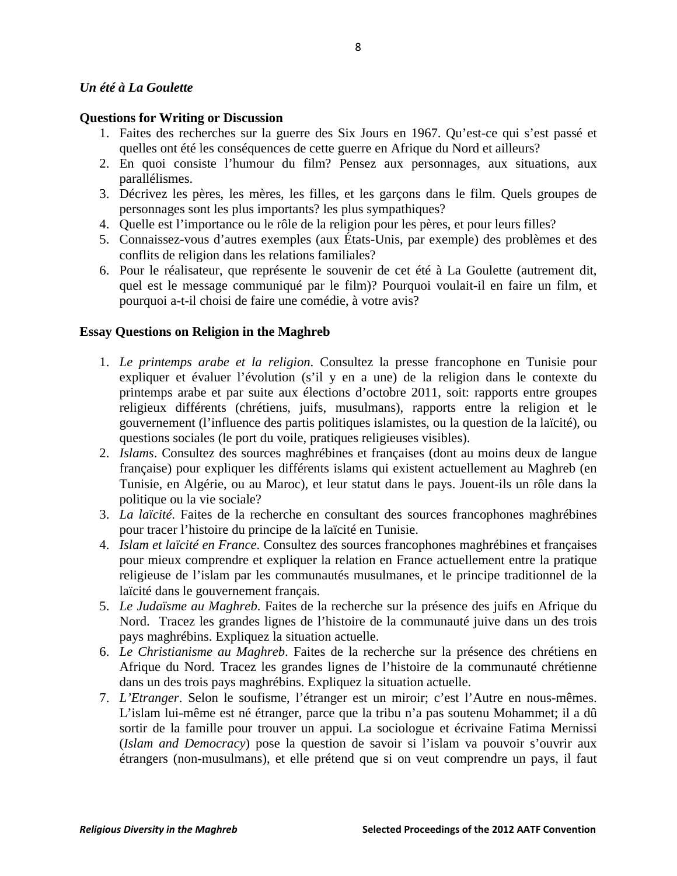## *Un été à La Goulette*

## **Questions for Writing or Discussion**

- 1. Faites des recherches sur la guerre des Six Jours en 1967. Qu'est-ce qui s'est passé et quelles ont été les conséquences de cette guerre en Afrique du Nord et ailleurs?
- 2. En quoi consiste l'humour du film? Pensez aux personnages, aux situations, aux parallélismes.
- 3. Décrivez les pères, les mères, les filles, et les garçons dans le film. Quels groupes de personnages sont les plus importants? les plus sympathiques?
- 4. Quelle est l'importance ou le rôle de la religion pour les pères, et pour leurs filles?
- 5. Connaissez-vous d'autres exemples (aux États-Unis, par exemple) des problèmes et des conflits de religion dans les relations familiales?
- 6. Pour le réalisateur, que représente le souvenir de cet été à La Goulette (autrement dit, quel est le message communiqué par le film)? Pourquoi voulait-il en faire un film, et pourquoi a-t-il choisi de faire une comédie, à votre avis?

## **Essay Questions on Religion in the Maghreb**

- 1. *Le printemps arabe et la religion*. Consultez la presse francophone en Tunisie pour expliquer et évaluer l'évolution (s'il y en a une) de la religion dans le contexte du printemps arabe et par suite aux élections d'octobre 2011, soit: rapports entre groupes religieux différents (chrétiens, juifs, musulmans), rapports entre la religion et le gouvernement (l'influence des partis politiques islamistes, ou la question de la laïcité), ou questions sociales (le port du voile, pratiques religieuses visibles).
- 2. *Islams*. Consultez des sources maghrébines et françaises (dont au moins deux de langue française) pour expliquer les différents islams qui existent actuellement au Maghreb (en Tunisie, en Algérie, ou au Maroc), et leur statut dans le pays. Jouent-ils un rôle dans la politique ou la vie sociale?
- 3. *La laïcité*. Faites de la recherche en consultant des sources francophones maghrébines pour tracer l'histoire du principe de la laïcité en Tunisie.
- 4. *Islam et laïcité en France*. Consultez des sources francophones maghrébines et françaises pour mieux comprendre et expliquer la relation en France actuellement entre la pratique religieuse de l'islam par les communautés musulmanes, et le principe traditionnel de la laïcité dans le gouvernement français.
- 5. *Le Judaïsme au Maghreb*. Faites de la recherche sur la présence des juifs en Afrique du Nord. Tracez les grandes lignes de l'histoire de la communauté juive dans un des trois pays maghrébins. Expliquez la situation actuelle.
- 6. *Le Christianisme au Maghreb*. Faites de la recherche sur la présence des chrétiens en Afrique du Nord. Tracez les grandes lignes de l'histoire de la communauté chrétienne dans un des trois pays maghrébins. Expliquez la situation actuelle.
- 7. *L'Etranger*. Selon le soufisme, l'étranger est un miroir; c'est l'Autre en nous-mêmes. L'islam lui-même est né étranger, parce que la tribu n'a pas soutenu Mohammet; il a dû sortir de la famille pour trouver un appui. La sociologue et écrivaine Fatima Mernissi (*Islam and Democracy*) pose la question de savoir si l'islam va pouvoir s'ouvrir aux étrangers (non-musulmans), et elle prétend que si on veut comprendre un pays, il faut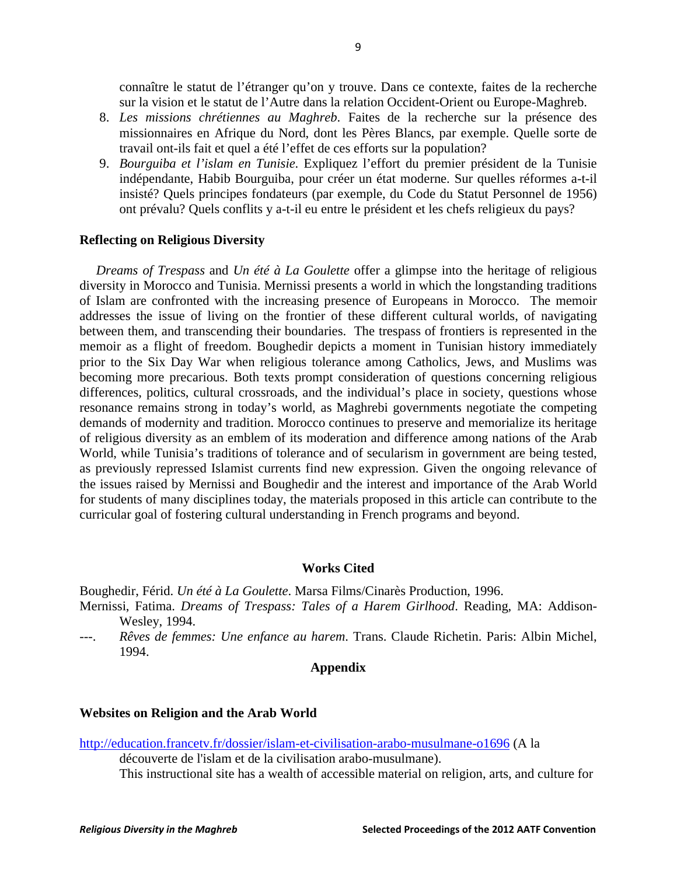connaître le statut de l'étranger qu'on y trouve. Dans ce contexte, faites de la recherche sur la vision et le statut de l'Autre dans la relation Occident-Orient ou Europe-Maghreb.

- 8. *Les missions chrétiennes au Maghreb*. Faites de la recherche sur la présence des missionnaires en Afrique du Nord, dont les Pères Blancs, par exemple. Quelle sorte de travail ont-ils fait et quel a été l'effet de ces efforts sur la population?
- 9. *Bourguiba et l'islam en Tunisie*. Expliquez l'effort du premier président de la Tunisie indépendante, Habib Bourguiba, pour créer un état moderne. Sur quelles réformes a-t-il insisté? Quels principes fondateurs (par exemple, du Code du Statut Personnel de 1956) ont prévalu? Quels conflits y a-t-il eu entre le président et les chefs religieux du pays?

#### **Reflecting on Religious Diversity**

 *Dreams of Trespass* and *Un été à La Goulette* offer a glimpse into the heritage of religious diversity in Morocco and Tunisia. Mernissi presents a world in which the longstanding traditions of Islam are confronted with the increasing presence of Europeans in Morocco. The memoir addresses the issue of living on the frontier of these different cultural worlds, of navigating between them, and transcending their boundaries. The trespass of frontiers is represented in the memoir as a flight of freedom. Boughedir depicts a moment in Tunisian history immediately prior to the Six Day War when religious tolerance among Catholics, Jews, and Muslims was becoming more precarious. Both texts prompt consideration of questions concerning religious differences, politics, cultural crossroads, and the individual's place in society, questions whose resonance remains strong in today's world, as Maghrebi governments negotiate the competing demands of modernity and tradition. Morocco continues to preserve and memorialize its heritage of religious diversity as an emblem of its moderation and difference among nations of the Arab World, while Tunisia's traditions of tolerance and of secularism in government are being tested, as previously repressed Islamist currents find new expression. Given the ongoing relevance of the issues raised by Mernissi and Boughedir and the interest and importance of the Arab World for students of many disciplines today, the materials proposed in this article can contribute to the curricular goal of fostering cultural understanding in French programs and beyond.

#### **Works Cited**

Boughedir, Férid. *Un été à La Goulette*. Marsa Films/Cinarès Production, 1996. Mernissi, Fatima. *Dreams of Trespass: Tales of a Harem Girlhood*. Reading, MA: Addison-Wesley, 1994.

---. *Rêves de femmes: Une enfance au harem*. Trans. Claude Richetin. Paris: Albin Michel, 1994.

#### **Appendix**

#### **Websites on Religion and the Arab World**

<http://education.francetv.fr/dossier/islam-et-civilisation-arabo-musulmane-o1696> (A la

découverte de l'islam et de la civilisation arabo-musulmane).

This instructional site has a wealth of accessible material on religion, arts, and culture for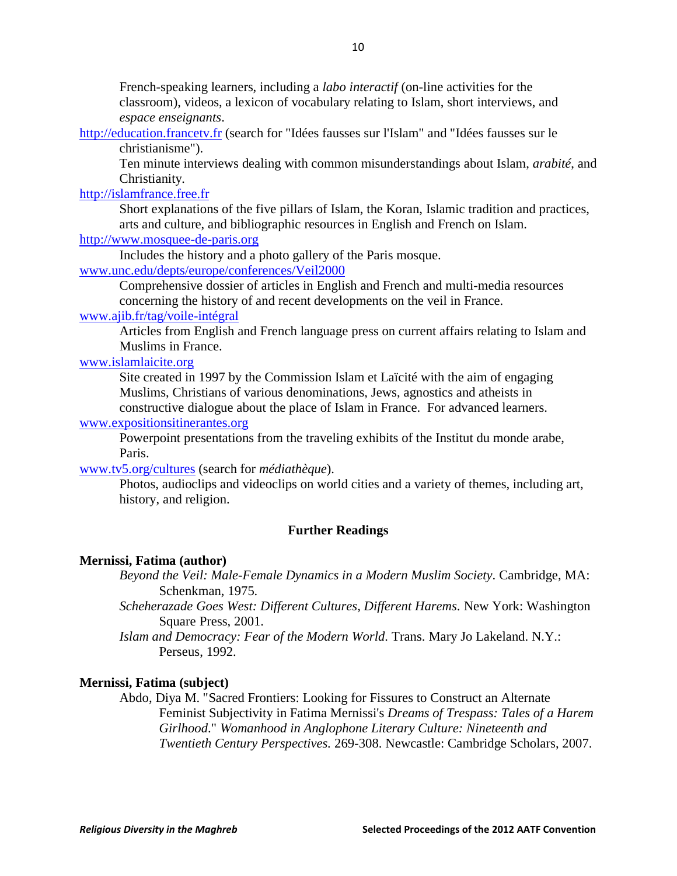French-speaking learners, including a *labo interactif* (on-line activities for the classroom), videos, a lexicon of vocabulary relating to Islam, short interviews, and *espace enseignants*.

[http://education.francetv.fr](http://education.francetv.fr/) (search for "Idées fausses sur l'Islam" and "Idées fausses sur le christianisme").

Ten minute interviews dealing with common misunderstandings about Islam, *arabité*, and Christianity*.*

## [http://islamfrance.free.fr](http://islamfrance.free.fr/)

Short explanations of the five pillars of Islam, the Koran, Islamic tradition and practices, arts and culture, and bibliographic resources in English and French on Islam.

## [http://www.mosquee-de-paris.org](http://www.mosquee-de-paris.org/)

Includes the history and a photo gallery of the Paris mosque. [www.unc.edu/depts/europe/conferences/Veil2000](http://www.unc.edu/depts/europe/conferences/Veil2000)

Comprehensive dossier of articles in English and French and multi-media resources concerning the history of and recent developments on the veil in France.

## [www.ajib.fr/tag/voile-intégral](http://www.ajib.fr/tag/voile-intégral)

Articles from English and French language press on current affairs relating to Islam and Muslims in France.

## [www.islamlaicite.org](http://www.islamlaicite.org/)

Site created in 1997 by the Commission Islam et Laïcité with the aim of engaging Muslims, Christians of various denominations, Jews, agnostics and atheists in constructive dialogue about the place of Islam in France. For advanced learners.

## [www.expositionsitinerantes.org](http://www.expositionsitinerantes.org/)

Powerpoint presentations from the traveling exhibits of the Institut du monde arabe, Paris.

## [www.tv5.org/cultures](http://www.tv5.org/cultures) (search for *médiathèque*).

Photos, audioclips and videoclips on world cities and a variety of themes, including art, history, and religion.

## **Further Readings**

## **Mernissi, Fatima (author)**

*Beyond the Veil: Male-Female Dynamics in a Modern Muslim Society*. Cambridge, MA: Schenkman, 1975.

*Scheherazade Goes West: Different Cultures, Different Harems*. New York: Washington Square Press, 2001.

*Islam and Democracy: Fear of the Modern World.* Trans. Mary Jo Lakeland. N.Y.: Perseus, 1992.

## **Mernissi, Fatima (subject)**

Abdo, Diya M. "Sacred Frontiers: Looking for Fissures to Construct an Alternate Feminist Subjectivity in Fatima Mernissi's *Dreams of Trespass: Tales of a Harem Girlhood*." *Womanhood in Anglophone Literary Culture: Nineteenth and Twentieth Century Perspectives.* 269-308. Newcastle: Cambridge Scholars, 2007.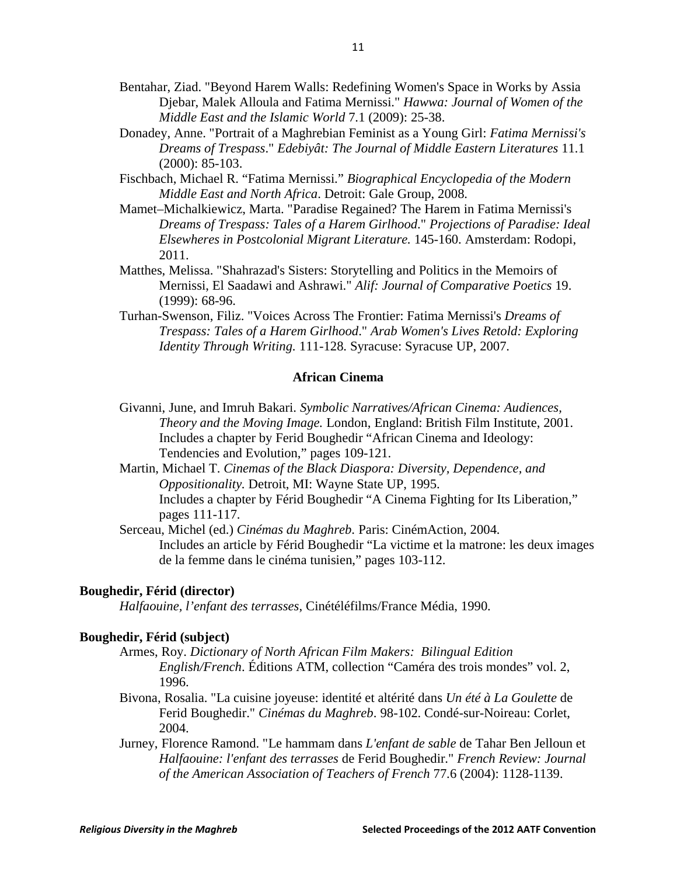- Bentahar, Ziad. "Beyond Harem Walls: Redefining Women's Space in Works by Assia Djebar, Malek Alloula and Fatima Mernissi." *Hawwa: Journal of Women of the Middle East and the Islamic World* 7.1 (2009): 25-38.
- Donadey, Anne. "Portrait of a Maghrebian Feminist as a Young Girl: *Fatima Mernissi's Dreams of Trespass*." *Edebiyât: The Journal of Middle Eastern Literatures* 11.1 (2000): 85-103.
- Fischbach, Michael R. "Fatima Mernissi." *Biographical Encyclopedia of the Modern Middle East and North Africa*. Detroit: Gale Group, 2008.
- Mamet–Michalkiewicz, Marta. "Paradise Regained? The Harem in Fatima Mernissi's *Dreams of Trespass: Tales of a Harem Girlhood*." *Projections of Paradise: Ideal Elsewheres in Postcolonial Migrant Literature.* 145-160. Amsterdam: Rodopi, 2011.
- Matthes, Melissa. "Shahrazad's Sisters: Storytelling and Politics in the Memoirs of Mernissi, El Saadawi and Ashrawi." *Alif: Journal of Comparative Poetics* 19. (1999): 68-96.
- Turhan-Swenson, Filiz. "Voices Across The Frontier: Fatima Mernissi's *Dreams of Trespass: Tales of a Harem Girlhood*." *Arab Women's Lives Retold: Exploring Identity Through Writing.* 111-128. Syracuse: Syracuse UP, 2007.

#### **African Cinema**

- Givanni, June, and Imruh Bakari. *Symbolic Narratives/African Cinema: Audiences, Theory and the Moving Image.* London, England: British Film Institute, 2001. Includes a chapter by Ferid Boughedir "African Cinema and Ideology: Tendencies and Evolution," pages 109-121.
- Martin, Michael T. *Cinemas of the Black Diaspora: Diversity, Dependence, and Oppositionality.* Detroit, MI: Wayne State UP, 1995. Includes a chapter by Férid Boughedir "A Cinema Fighting for Its Liberation," pages 111-117.
- Serceau, Michel (ed.) *Cinémas du Maghreb*. Paris: CinémAction, 2004. Includes an article by Férid Boughedir "La victime et la matrone: les deux images de la femme dans le cinéma tunisien," pages 103-112.

#### **Boughedir, Férid (director)**

*Halfaouine, l'enfant des terrasses*, Cinétéléfilms/France Média, 1990.

#### **Boughedir, Férid (subject)**

- Armes, Roy. *Dictionary of North African Film Makers: Bilingual Edition English/French*. Éditions ATM, collection "Caméra des trois mondes" vol. 2, 1996.
- Bivona, Rosalia. "La cuisine joyeuse: identité et altérité dans *Un été à La Goulette* de Ferid Boughedir." *Cinémas du Maghreb*. 98-102. Condé-sur-Noireau: Corlet, 2004.
- Jurney, Florence Ramond. "Le hammam dans *L'enfant de sable* de Tahar Ben Jelloun et *Halfaouine: l'enfant des terrasses* de Ferid Boughedir." *French Review: Journal of the American Association of Teachers of French* 77.6 (2004): 1128-1139.